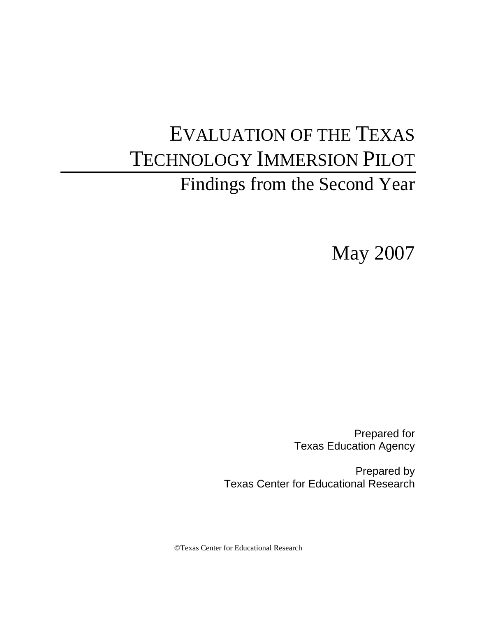# EVALUATION OF THE TEXAS TECHNOLOGY IMMERSION PILOT Findings from the Second Year

May 2007

Prepared for Texas Education Agency

Prepared by Texas Center for Educational Research

©Texas Center for Educational Research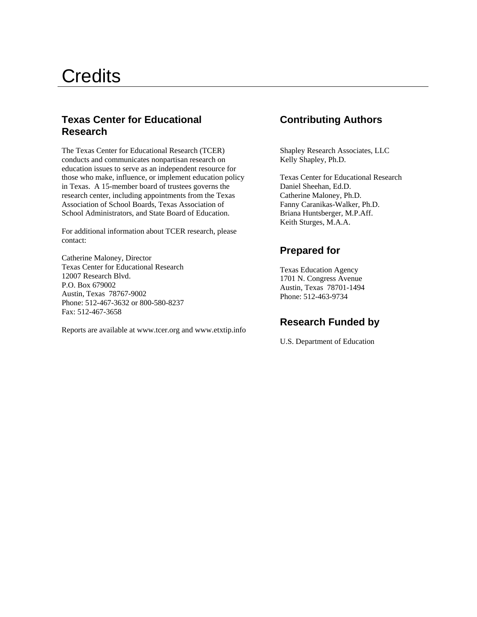# **Credits**

## **Texas Center for Educational Contributing Authors Research**

The Texas Center for Educational Research (TCER) Shapley Research Associates, LLC conducts and communicates nonpartisan research on Kelly Shapley, Ph.D. education issues to serve as an independent resource for those who make, influence, or implement education policy Texas Center for Educational Research in Texas. A 15-member board of trustees governs the Daniel Sheehan, Ed.D. research center, including appointments from the Texas Catherine Maloney, Ph.D. Association of School Boards, Texas Association of Fanny Caranikas-Walker, Ph.D. School Administrators, and State Board of Education. Briana Huntsberger, M.P.Aff.

For additional information about TCER research, please contact:

**Prepared for** Catherine Maloney, Director Texas Center for Educational Research Texas Education Agency<br>
12007 Research Blvd. 1701 N. Congress Avenue<br>
P.O. Box 679002 Austin, Texas 78701-1494 Phone: 512-463-9734 Phone: 512-467-3632 or 800-580-8237 Fax: 512-467-3658

**Research Funded by** Reports are available at www.tcer.org and www.etxtip.info

Keith Sturges, M.A.A.

U.S. Department of Education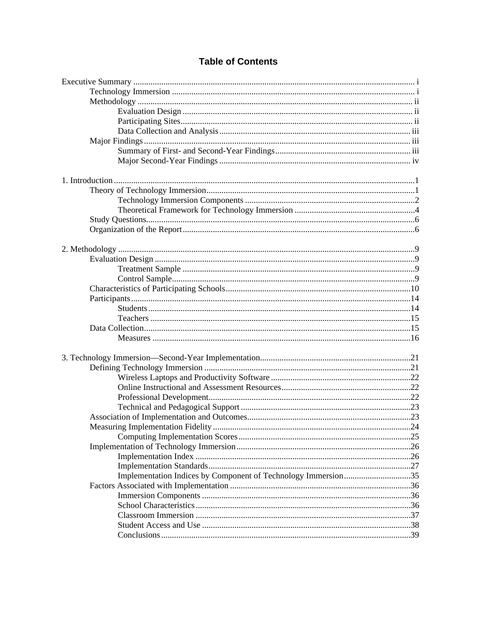# **Table of Contents**

| Implementation Indices by Component of Technology Immersion35 |  |  |  |
|---------------------------------------------------------------|--|--|--|
|                                                               |  |  |  |
|                                                               |  |  |  |
|                                                               |  |  |  |
|                                                               |  |  |  |
|                                                               |  |  |  |
|                                                               |  |  |  |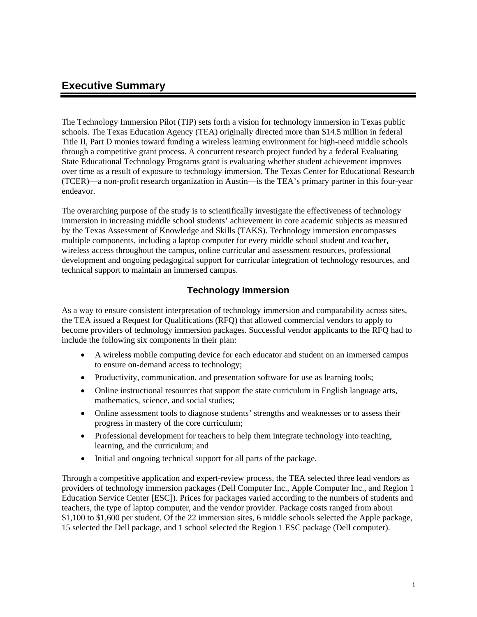# **Executive Summary**

The Technology Immersion Pilot (TIP) sets forth a vision for technology immersion in Texas public schools. The Texas Education Agency (TEA) originally directed more than \$14.5 million in federal Title II, Part D monies toward funding a wireless learning environment for high-need middle schools through a competitive grant process. A concurrent research project funded by a federal Evaluating State Educational Technology Programs grant is evaluating whether student achievement improves over time as a result of exposure to technology immersion. The Texas Center for Educational Research (TCER)—a non-profit research organization in Austin—is the TEA's primary partner in this four-year endeavor.

The overarching purpose of the study is to scientifically investigate the effectiveness of technology immersion in increasing middle school students' achievement in core academic subjects as measured by the Texas Assessment of Knowledge and Skills (TAKS). Technology immersion encompasses multiple components, including a laptop computer for every middle school student and teacher, wireless access throughout the campus, online curricular and assessment resources, professional development and ongoing pedagogical support for curricular integration of technology resources, and technical support to maintain an immersed campus.

### **Technology Immersion**

As a way to ensure consistent interpretation of technology immersion and comparability across sites, the TEA issued a Request for Qualifications (RFQ) that allowed commercial vendors to apply to become providers of technology immersion packages. Successful vendor applicants to the RFQ had to include the following six components in their plan:

- A wireless mobile computing device for each educator and student on an immersed campus to ensure on-demand access to technology;
- Productivity, communication, and presentation software for use as learning tools;
- Online instructional resources that support the state curriculum in English language arts, mathematics, science, and social studies;
- Online assessment tools to diagnose students' strengths and weaknesses or to assess their progress in mastery of the core curriculum;
- Professional development for teachers to help them integrate technology into teaching, learning, and the curriculum; and
- Initial and ongoing technical support for all parts of the package.

Through a competitive application and expert-review process, the TEA selected three lead vendors as providers of technology immersion packages (Dell Computer Inc., Apple Computer Inc., and Region 1 Education Service Center [ESC]). Prices for packages varied according to the numbers of students and teachers, the type of laptop computer, and the vendor provider. Package costs ranged from about \$1,100 to \$1,600 per student. Of the 22 immersion sites, 6 middle schools selected the Apple package, 15 selected the Dell package, and 1 school selected the Region 1 ESC package (Dell computer).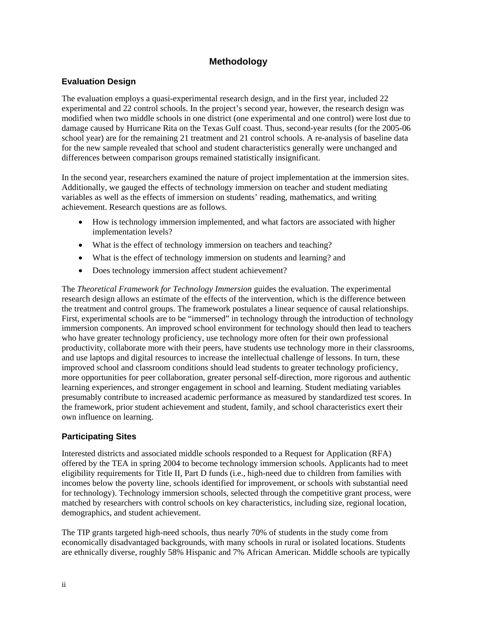## **Methodology**

### **Evaluation Design**

The evaluation employs a quasi-experimental research design, and in the first year, included 22 experimental and 22 control schools. In the project's second year, however, the research design was modified when two middle schools in one district (one experimental and one control) were lost due to damage caused by Hurricane Rita on the Texas Gulf coast. Thus, second-year results (for the 2005-06 school year) are for the remaining 21 treatment and 21 control schools. A re-analysis of baseline data for the new sample revealed that school and student characteristics generally were unchanged and differences between comparison groups remained statistically insignificant.

In the second year, researchers examined the nature of project implementation at the immersion sites. Additionally, we gauged the effects of technology immersion on teacher and student mediating variables as well as the effects of immersion on students' reading, mathematics, and writing achievement. Research questions are as follows.

- How is technology immersion implemented, and what factors are associated with higher implementation levels?
- What is the effect of technology immersion on teachers and teaching?
- What is the effect of technology immersion on students and learning? and
- Does technology immersion affect student achievement?

The *Theoretical Framework for Technology Immersion* guides the evaluation. The experimental research design allows an estimate of the effects of the intervention, which is the difference between the treatment and control groups. The framework postulates a linear sequence of causal relationships. First, experimental schools are to be "immersed" in technology through the introduction of technology immersion components. An improved school environment for technology should then lead to teachers who have greater technology proficiency, use technology more often for their own professional productivity, collaborate more with their peers, have students use technology more in their classrooms, and use laptops and digital resources to increase the intellectual challenge of lessons. In turn, these improved school and classroom conditions should lead students to greater technology proficiency, more opportunities for peer collaboration, greater personal self-direction, more rigorous and authentic learning experiences, and stronger engagement in school and learning. Student mediating variables presumably contribute to increased academic performance as measured by standardized test scores. In the framework, prior student achievement and student, family, and school characteristics exert their own influence on learning.

#### **Participating Sites**

Interested districts and associated middle schools responded to a Request for Application (RFA) offered by the TEA in spring 2004 to become technology immersion schools. Applicants had to meet eligibility requirements for Title II, Part D funds (i.e., high-need due to children from families with incomes below the poverty line, schools identified for improvement, or schools with substantial need for technology). Technology immersion schools, selected through the competitive grant process, were matched by researchers with control schools on key characteristics, including size, regional location, demographics, and student achievement.

The TIP grants targeted high-need schools, thus nearly 70% of students in the study come from economically disadvantaged backgrounds, with many schools in rural or isolated locations. Students are ethnically diverse, roughly 58% Hispanic and 7% African American. Middle schools are typically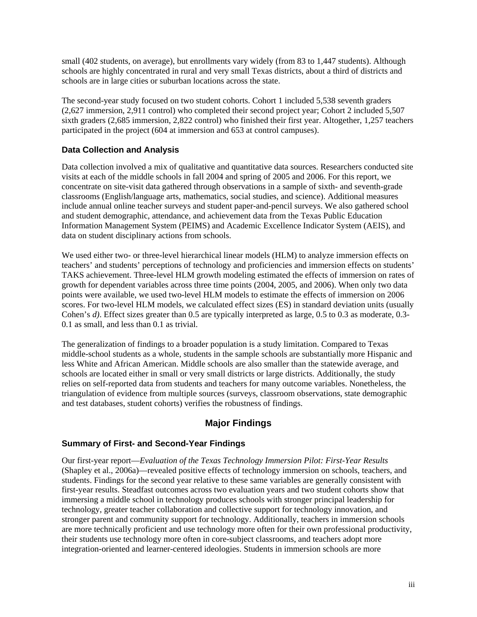small (402 students, on average), but enrollments vary widely (from 83 to 1,447 students). Although schools are highly concentrated in rural and very small Texas districts, about a third of districts and schools are in large cities or suburban locations across the state.

The second-year study focused on two student cohorts. Cohort 1 included 5,538 seventh graders (2,627 immersion, 2,911 control) who completed their second project year; Cohort 2 included 5,507 sixth graders (2,685 immersion, 2,822 control) who finished their first year. Altogether, 1,257 teachers participated in the project (604 at immersion and 653 at control campuses).

### **Data Collection and Analysis**

Data collection involved a mix of qualitative and quantitative data sources. Researchers conducted site visits at each of the middle schools in fall 2004 and spring of 2005 and 2006. For this report, we concentrate on site-visit data gathered through observations in a sample of sixth- and seventh-grade classrooms (English/language arts, mathematics, social studies, and science). Additional measures include annual online teacher surveys and student paper-and-pencil surveys. We also gathered school and student demographic, attendance, and achievement data from the Texas Public Education Information Management System (PEIMS) and Academic Excellence Indicator System (AEIS), and data on student disciplinary actions from schools.

We used either two- or three-level hierarchical linear models (HLM) to analyze immersion effects on teachers' and students' perceptions of technology and proficiencies and immersion effects on students' TAKS achievement. Three-level HLM growth modeling estimated the effects of immersion on rates of growth for dependent variables across three time points (2004, 2005, and 2006). When only two data points were available, we used two-level HLM models to estimate the effects of immersion on 2006 scores. For two-level HLM models, we calculated effect sizes (ES) in standard deviation units (usually Cohen's *d*). Effect sizes greater than 0.5 are typically interpreted as large, 0.5 to 0.3 as moderate, 0.3-0.1 as small, and less than 0.1 as trivial.

The generalization of findings to a broader population is a study limitation. Compared to Texas middle-school students as a whole, students in the sample schools are substantially more Hispanic and less White and African American. Middle schools are also smaller than the statewide average, and schools are located either in small or very small districts or large districts. Additionally, the study relies on self-reported data from students and teachers for many outcome variables. Nonetheless, the triangulation of evidence from multiple sources (surveys, classroom observations, state demographic and test databases, student cohorts) verifies the robustness of findings.

### **Major Findings**

#### **Summary of First- and Second-Year Findings**

Our first-year report—*Evaluation of the Texas Technology Immersion Pilot: First-Year Results* (Shapley et al., 2006a)—revealed positive effects of technology immersion on schools, teachers, and students. Findings for the second year relative to these same variables are generally consistent with first-year results. Steadfast outcomes across two evaluation years and two student cohorts show that immersing a middle school in technology produces schools with stronger principal leadership for technology, greater teacher collaboration and collective support for technology innovation, and stronger parent and community support for technology. Additionally, teachers in immersion schools are more technically proficient and use technology more often for their own professional productivity, their students use technology more often in core-subject classrooms, and teachers adopt more integration-oriented and learner-centered ideologies. Students in immersion schools are more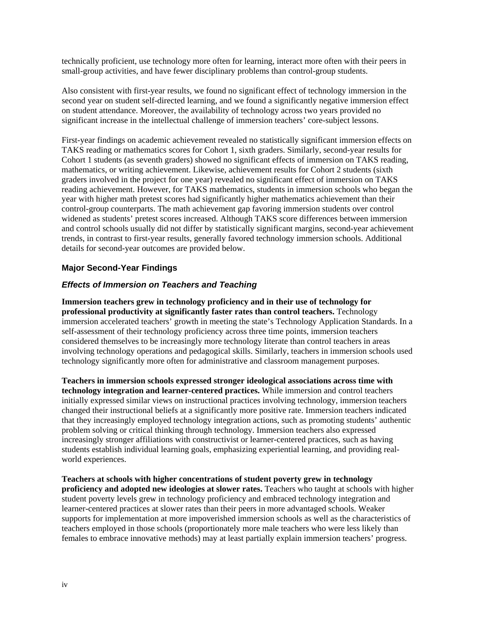technically proficient, use technology more often for learning, interact more often with their peers in small-group activities, and have fewer disciplinary problems than control-group students.

Also consistent with first-year results, we found no significant effect of technology immersion in the second year on student self-directed learning, and we found a significantly negative immersion effect on student attendance. Moreover, the availability of technology across two years provided no significant increase in the intellectual challenge of immersion teachers' core-subject lessons.

First-year findings on academic achievement revealed no statistically significant immersion effects on TAKS reading or mathematics scores for Cohort 1, sixth graders. Similarly, second-year results for Cohort 1 students (as seventh graders) showed no significant effects of immersion on TAKS reading, mathematics, or writing achievement. Likewise, achievement results for Cohort 2 students (sixth graders involved in the project for one year) revealed no significant effect of immersion on TAKS reading achievement. However, for TAKS mathematics, students in immersion schools who began the year with higher math pretest scores had significantly higher mathematics achievement than their control-group counterparts. The math achievement gap favoring immersion students over control widened as students' pretest scores increased. Although TAKS score differences between immersion and control schools usually did not differ by statistically significant margins, second-year achievement trends, in contrast to first-year results, generally favored technology immersion schools. Additional details for second-year outcomes are provided below.

#### **Major Second-Year Findings**

#### *Effects of Immersion on Teachers and Teaching*

**Immersion teachers grew in technology proficiency and in their use of technology for professional productivity at significantly faster rates than control teachers.** Technology immersion accelerated teachers' growth in meeting the state's Technology Application Standards. In a self-assessment of their technology proficiency across three time points, immersion teachers considered themselves to be increasingly more technology literate than control teachers in areas involving technology operations and pedagogical skills. Similarly, teachers in immersion schools used technology significantly more often for administrative and classroom management purposes.

**Teachers in immersion schools expressed stronger ideological associations across time with technology integration and learner-centered practices.** While immersion and control teachers initially expressed similar views on instructional practices involving technology, immersion teachers changed their instructional beliefs at a significantly more positive rate. Immersion teachers indicated that they increasingly employed technology integration actions, such as promoting students' authentic problem solving or critical thinking through technology. Immersion teachers also expressed increasingly stronger affiliations with constructivist or learner-centered practices, such as having students establish individual learning goals, emphasizing experiential learning, and providing realworld experiences.

**Teachers at schools with higher concentrations of student poverty grew in technology proficiency and adopted new ideologies at slower rates.** Teachers who taught at schools with higher student poverty levels grew in technology proficiency and embraced technology integration and learner-centered practices at slower rates than their peers in more advantaged schools. Weaker supports for implementation at more impoverished immersion schools as well as the characteristics of teachers employed in those schools (proportionately more male teachers who were less likely than females to embrace innovative methods) may at least partially explain immersion teachers' progress.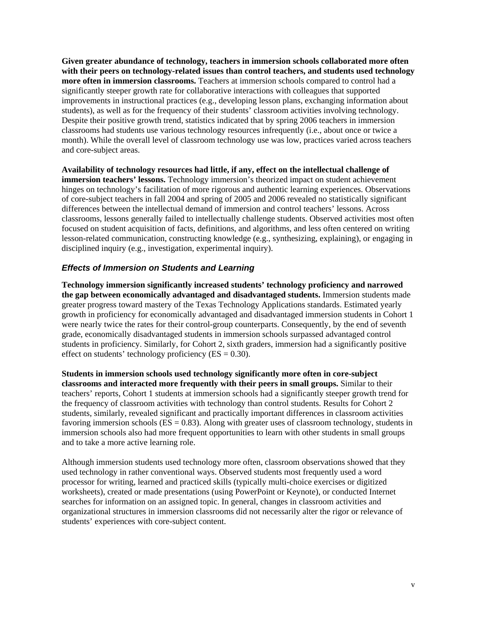**Given greater abundance of technology, teachers in immersion schools collaborated more often with their peers on technology-related issues than control teachers, and students used technology more often in immersion classrooms.** Teachers at immersion schools compared to control had a significantly steeper growth rate for collaborative interactions with colleagues that supported improvements in instructional practices (e.g., developing lesson plans, exchanging information about students), as well as for the frequency of their students' classroom activities involving technology. Despite their positive growth trend, statistics indicated that by spring 2006 teachers in immersion classrooms had students use various technology resources infrequently (i.e., about once or twice a month). While the overall level of classroom technology use was low, practices varied across teachers and core-subject areas.

**Availability of technology resources had little, if any, effect on the intellectual challenge of immersion teachers' lessons.** Technology immersion's theorized impact on student achievement hinges on technology's facilitation of more rigorous and authentic learning experiences. Observations of core-subject teachers in fall 2004 and spring of 2005 and 2006 revealed no statistically significant differences between the intellectual demand of immersion and control teachers' lessons. Across classrooms, lessons generally failed to intellectually challenge students. Observed activities most often focused on student acquisition of facts, definitions, and algorithms, and less often centered on writing lesson-related communication, constructing knowledge (e.g., synthesizing, explaining), or engaging in disciplined inquiry (e.g., investigation, experimental inquiry).

#### *Effects of Immersion on Students and Learning*

**Technology immersion significantly increased students' technology proficiency and narrowed the gap between economically advantaged and disadvantaged students.** Immersion students made greater progress toward mastery of the Texas Technology Applications standards. Estimated yearly growth in proficiency for economically advantaged and disadvantaged immersion students in Cohort 1 were nearly twice the rates for their control-group counterparts. Consequently, by the end of seventh grade, economically disadvantaged students in immersion schools surpassed advantaged control students in proficiency. Similarly, for Cohort 2, sixth graders, immersion had a significantly positive effect on students' technology proficiency  $(ES = 0.30)$ .

**Students in immersion schools used technology significantly more often in core-subject classrooms and interacted more frequently with their peers in small groups.** Similar to their teachers' reports, Cohort 1 students at immersion schools had a significantly steeper growth trend for the frequency of classroom activities with technology than control students. Results for Cohort 2 students, similarly, revealed significant and practically important differences in classroom activities favoring immersion schools ( $ES = 0.83$ ). Along with greater uses of classroom technology, students in immersion schools also had more frequent opportunities to learn with other students in small groups and to take a more active learning role.

Although immersion students used technology more often, classroom observations showed that they used technology in rather conventional ways. Observed students most frequently used a word processor for writing, learned and practiced skills (typically multi-choice exercises or digitized worksheets), created or made presentations (using PowerPoint or Keynote), or conducted Internet searches for information on an assigned topic. In general, changes in classroom activities and organizational structures in immersion classrooms did not necessarily alter the rigor or relevance of students' experiences with core-subject content.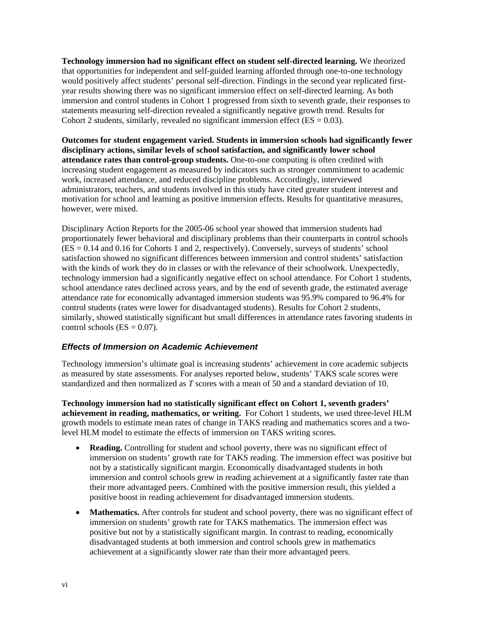**Technology immersion had no significant effect on student self-directed learning.** We theorized that opportunities for independent and self-guided learning afforded through one-to-one technology would positively affect students' personal self-direction. Findings in the second year replicated firstyear results showing there was no significant immersion effect on self-directed learning. As both immersion and control students in Cohort 1 progressed from sixth to seventh grade, their responses to statements measuring self-direction revealed a significantly negative growth trend. Results for Cohort 2 students, similarly, revealed no significant immersion effect ( $ES = 0.03$ ).

**Outcomes for student engagement varied. Students in immersion schools had significantly fewer disciplinary actions, similar levels of school satisfaction, and significantly lower school attendance rates than control-group students.** One-to-one computing is often credited with increasing student engagement as measured by indicators such as stronger commitment to academic work, increased attendance, and reduced discipline problems. Accordingly, interviewed administrators, teachers, and students involved in this study have cited greater student interest and motivation for school and learning as positive immersion effects. Results for quantitative measures, however, were mixed.

Disciplinary Action Reports for the 2005-06 school year showed that immersion students had proportionately fewer behavioral and disciplinary problems than their counterparts in control schools (ES = 0.14 and 0.16 for Cohorts 1 and 2, respectively). Conversely, surveys of students' school satisfaction showed no significant differences between immersion and control students' satisfaction with the kinds of work they do in classes or with the relevance of their schoolwork. Unexpectedly, technology immersion had a significantly negative effect on school attendance. For Cohort 1 students, school attendance rates declined across years, and by the end of seventh grade, the estimated average attendance rate for economically advantaged immersion students was 95.9% compared to 96.4% for control students (rates were lower for disadvantaged students). Results for Cohort 2 students, similarly, showed statistically significant but small differences in attendance rates favoring students in control schools  $(ES = 0.07)$ .

#### *Effects of Immersion on Academic Achievement*

Technology immersion's ultimate goal is increasing students' achievement in core academic subjects as measured by state assessments. For analyses reported below, students' TAKS scale scores were standardized and then normalized as *T* scores with a mean of 50 and a standard deviation of 10.

**Technology immersion had no statistically significant effect on Cohort 1, seventh graders' achievement in reading, mathematics, or writing.** For Cohort 1 students, we used three-level HLM growth models to estimate mean rates of change in TAKS reading and mathematics scores and a twolevel HLM model to estimate the effects of immersion on TAKS writing scores.

- **Reading.** Controlling for student and school poverty, there was no significant effect of immersion on students' growth rate for TAKS reading. The immersion effect was positive but not by a statistically significant margin. Economically disadvantaged students in both immersion and control schools grew in reading achievement at a significantly faster rate than their more advantaged peers. Combined with the positive immersion result, this yielded a positive boost in reading achievement for disadvantaged immersion students.
- **Mathematics.** After controls for student and school poverty, there was no significant effect of immersion on students' growth rate for TAKS mathematics. The immersion effect was positive but not by a statistically significant margin. In contrast to reading, economically disadvantaged students at both immersion and control schools grew in mathematics achievement at a significantly slower rate than their more advantaged peers.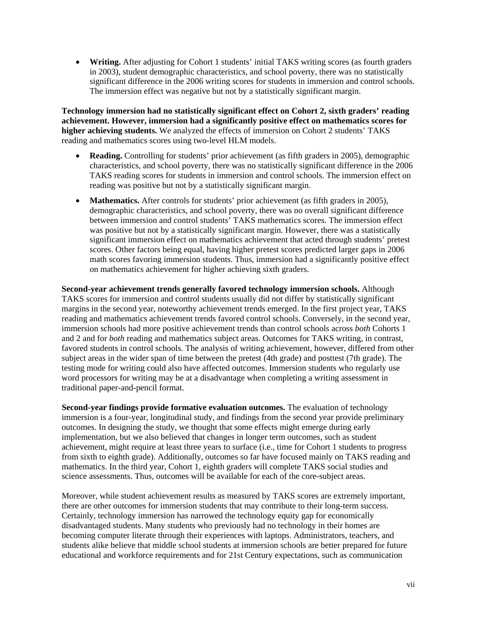• **Writing.** After adjusting for Cohort 1 students' initial TAKS writing scores (as fourth graders in 2003), student demographic characteristics, and school poverty, there was no statistically significant difference in the 2006 writing scores for students in immersion and control schools. The immersion effect was negative but not by a statistically significant margin.

**Technology immersion had no statistically significant effect on Cohort 2, sixth graders' reading achievement. However, immersion had a significantly positive effect on mathematics scores for higher achieving students.** We analyzed the effects of immersion on Cohort 2 students' TAKS reading and mathematics scores using two-level HLM models.

- **Reading.** Controlling for students' prior achievement (as fifth graders in 2005), demographic characteristics, and school poverty, there was no statistically significant difference in the 2006 TAKS reading scores for students in immersion and control schools. The immersion effect on reading was positive but not by a statistically significant margin.
- **Mathematics.** After controls for students' prior achievement (as fifth graders in 2005), demographic characteristics, and school poverty, there was no overall significant difference between immersion and control students' TAKS mathematics scores. The immersion effect was positive but not by a statistically significant margin. However, there was a statistically significant immersion effect on mathematics achievement that acted through students' pretest scores. Other factors being equal, having higher pretest scores predicted larger gaps in 2006 math scores favoring immersion students. Thus, immersion had a significantly positive effect on mathematics achievement for higher achieving sixth graders.

**Second-year achievement trends generally favored technology immersion schools.** Although TAKS scores for immersion and control students usually did not differ by statistically significant margins in the second year, noteworthy achievement trends emerged. In the first project year, TAKS reading and mathematics achievement trends favored control schools. Conversely, in the second year, immersion schools had more positive achievement trends than control schools across *both* Cohorts 1 and 2 and for *both* reading and mathematics subject areas. Outcomes for TAKS writing, in contrast, favored students in control schools. The analysis of writing achievement, however, differed from other subject areas in the wider span of time between the pretest (4th grade) and posttest (7th grade). The testing mode for writing could also have affected outcomes. Immersion students who regularly use word processors for writing may be at a disadvantage when completing a writing assessment in traditional paper-and-pencil format.

**Second-year findings provide formative evaluation outcomes.** The evaluation of technology immersion is a four-year, longitudinal study, and findings from the second year provide preliminary outcomes. In designing the study, we thought that some effects might emerge during early implementation, but we also believed that changes in longer term outcomes, such as student achievement, might require at least three years to surface (i.e., time for Cohort 1 students to progress from sixth to eighth grade). Additionally, outcomes so far have focused mainly on TAKS reading and mathematics. In the third year, Cohort 1, eighth graders will complete TAKS social studies and science assessments. Thus, outcomes will be available for each of the core-subject areas.

Moreover, while student achievement results as measured by TAKS scores are extremely important, there are other outcomes for immersion students that may contribute to their long-term success. Certainly, technology immersion has narrowed the technology equity gap for economically disadvantaged students. Many students who previously had no technology in their homes are becoming computer literate through their experiences with laptops. Administrators, teachers, and students alike believe that middle school students at immersion schools are better prepared for future educational and workforce requirements and for 21st Century expectations, such as communication